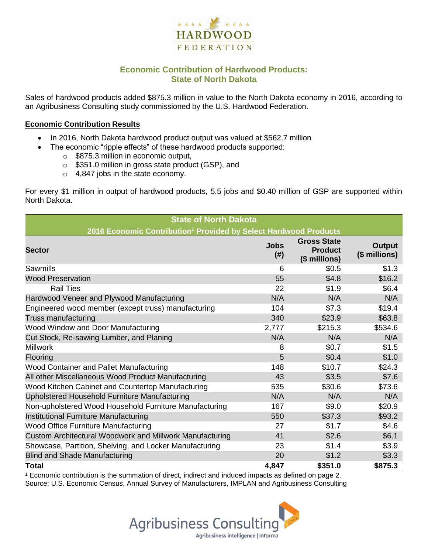

# **Economic Contribution of Hardwood Products: State of North Dakota**

Sales of hardwood products added \$875.3 million in value to the North Dakota economy in 2016, according to an Agribusiness Consulting study commissioned by the U.S. Hardwood Federation.

#### **Economic Contribution Results**

- In 2016, North Dakota hardwood product output was valued at \$562.7 million
	- The economic "ripple effects" of these hardwood products supported:
		- o \$875.3 million in economic output,
		- o \$351.0 million in gross state product (GSP), and
		- o 4,847 jobs in the state economy.

For every \$1 million in output of hardwood products, 5.5 jobs and \$0.40 million of GSP are supported within North Dakota.

| <b>State of North Dakota</b>                                                 |                     |                                                       |                         |  |  |  |
|------------------------------------------------------------------------------|---------------------|-------------------------------------------------------|-------------------------|--|--|--|
| 2016 Economic Contribution <sup>1</sup> Provided by Select Hardwood Products |                     |                                                       |                         |  |  |  |
| <b>Sector</b>                                                                | <b>Jobs</b><br>(# ) | <b>Gross State</b><br><b>Product</b><br>(\$ millions) | Output<br>(\$ millions) |  |  |  |
| <b>Sawmills</b>                                                              | 6                   | \$0.5                                                 | \$1.3                   |  |  |  |
| <b>Wood Preservation</b>                                                     | 55                  | \$4.8                                                 | \$16.2                  |  |  |  |
| <b>Rail Ties</b>                                                             | 22                  | \$1.9                                                 | \$6.4                   |  |  |  |
| Hardwood Veneer and Plywood Manufacturing                                    | N/A                 | N/A                                                   | N/A                     |  |  |  |
| Engineered wood member (except truss) manufacturing                          | 104                 | \$7.3                                                 | \$19.4                  |  |  |  |
| <b>Truss manufacturing</b>                                                   | 340                 | \$23.9                                                | \$63.8                  |  |  |  |
| Wood Window and Door Manufacturing                                           | 2,777               | \$215.3                                               | \$534.6                 |  |  |  |
| Cut Stock, Re-sawing Lumber, and Planing                                     | N/A                 | N/A                                                   | N/A                     |  |  |  |
| <b>Millwork</b>                                                              | 8                   | \$0.7                                                 | \$1.5                   |  |  |  |
| Flooring                                                                     | 5                   | \$0.4                                                 | \$1.0                   |  |  |  |
| Wood Container and Pallet Manufacturing                                      | 148                 | \$10.7                                                | \$24.3                  |  |  |  |
| All other Miscellaneous Wood Product Manufacturing                           | 43                  | \$3.5                                                 | \$7.6                   |  |  |  |
| Wood Kitchen Cabinet and Countertop Manufacturing                            | 535                 | \$30.6                                                | \$73.6                  |  |  |  |
| Upholstered Household Furniture Manufacturing                                | N/A                 | N/A                                                   | N/A                     |  |  |  |
| Non-upholstered Wood Household Furniture Manufacturing                       | 167                 | \$9.0                                                 | \$20.9                  |  |  |  |
| Institutional Furniture Manufacturing                                        | 550                 | \$37.3                                                | \$93.2                  |  |  |  |
| Wood Office Furniture Manufacturing                                          | 27                  | \$1.7                                                 | \$4.6                   |  |  |  |
| Custom Architectural Woodwork and Millwork Manufacturing                     | 41                  | \$2.6                                                 | \$6.1                   |  |  |  |
| Showcase, Partition, Shelving, and Locker Manufacturing                      | 23                  | \$1.4                                                 | \$3.9                   |  |  |  |
| <b>Blind and Shade Manufacturing</b>                                         | 20                  | \$1.2                                                 | \$3.3                   |  |  |  |
| <b>Total</b>                                                                 | 4,847               | \$351.0                                               | \$875.3                 |  |  |  |

 $1$  Economic contribution is the summation of direct, indirect and induced impacts as defined on page 2. Source: U.S. Economic Census, Annual Survey of Manufacturers, IMPLAN and Agribusiness Consulting